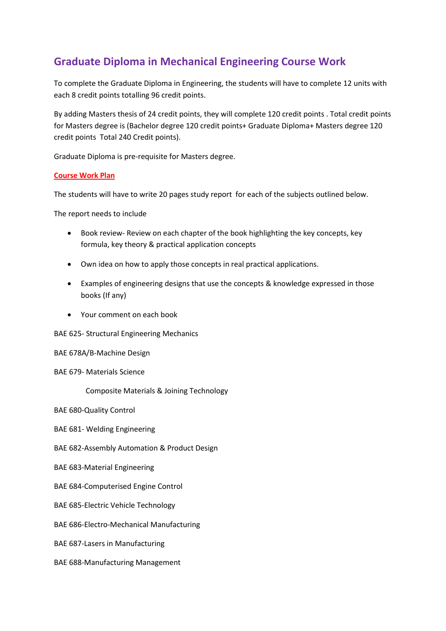## **Graduate Diploma in Mechanical Engineering Course Work**

To complete the Graduate Diploma in Engineering, the students will have to complete 12 units with each 8 credit points totalling 96 credit points.

By adding Masters thesis of 24 credit points, they will complete 120 credit points . Total credit points for Masters degree is (Bachelor degree 120 credit points+ Graduate Diploma+ Masters degree 120 credit points Total 240 Credit points).

Graduate Diploma is pre-requisite for Masters degree.

## **Course Work Plan**

The students will have to write 20 pages study report for each of the subjects outlined below.

The report needs to include

- Book review- Review on each chapter of the book highlighting the key concepts, key formula, key theory & practical application concepts
- Own idea on how to apply those concepts in real practical applications.
- Examples of engineering designs that use the concepts & knowledge expressed in those books (If any)
- Your comment on each book
- BAE 625- Structural Engineering Mechanics
- BAE 678A/B-Machine Design
- BAE 679- Materials Science

Composite Materials & Joining Technology

BAE 680-Quality Control

- BAE 681- Welding Engineering
- BAE 682-Assembly Automation & Product Design
- BAE 683-Material Engineering
- BAE 684-Computerised Engine Control
- BAE 685-Electric Vehicle Technology
- BAE 686-Electro-Mechanical Manufacturing
- BAE 687-Lasers in Manufacturing
- BAE 688-Manufacturing Management